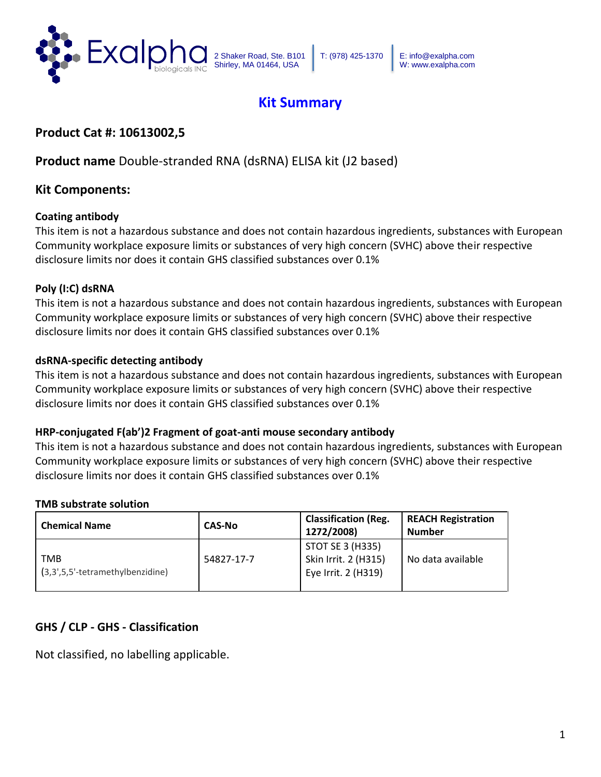

# **Kit Summary**

# **Product Cat #: 10613002,5**

# **Product name** Double-stranded RNA (dsRNA) ELISA kit (J2 based)

## **Kit Components:**

#### **Coating antibody**

This item is not a hazardous substance and does not contain hazardous ingredients, substances with European Community workplace exposure limits or substances of very high concern (SVHC) above their respective disclosure limits nor does it contain GHS classified substances over 0.1%

#### **Poly (I:C) dsRNA**

This item is not a hazardous substance and does not contain hazardous ingredients, substances with European Community workplace exposure limits or substances of very high concern (SVHC) above their respective disclosure limits nor does it contain GHS classified substances over 0.1%

#### **dsRNA-specific detecting antibody**

This item is not a hazardous substance and does not contain hazardous ingredients, substances with European Community workplace exposure limits or substances of very high concern (SVHC) above their respective disclosure limits nor does it contain GHS classified substances over 0.1%

#### **HRP-conjugated F(ab')2 Fragment of goat-anti mouse secondary antibody**

This item is not a hazardous substance and does not contain hazardous ingredients, substances with European Community workplace exposure limits or substances of very high concern (SVHC) above their respective disclosure limits nor does it contain GHS classified substances over 0.1%

#### **TMB substrate solution**

| <b>Chemical Name</b>                      | <b>CAS-No</b> | <b>Classification (Reg.</b><br>1272/2008)                       | <b>REACH Registration</b><br><b>Number</b> |
|-------------------------------------------|---------------|-----------------------------------------------------------------|--------------------------------------------|
| TMB<br>$(3,3',5,5'-tetramethylbenzidine)$ | 54827-17-7    | STOT SE 3 (H335)<br>Skin Irrit. 2 (H315)<br>Eye Irrit. 2 (H319) | No data available                          |

## **GHS / CLP - GHS - Classification**

Not classified, no labelling applicable.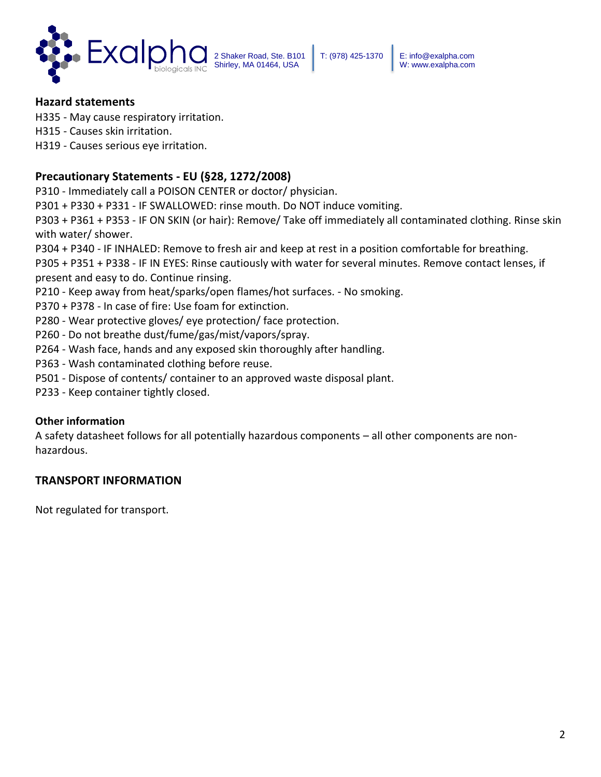

T: (978) 425-1370 E: info@exalpha.com W: www.exalpha.com

#### **Hazard statements**

H335 - May cause respiratory irritation.

H315 - Causes skin irritation.

H319 - Causes serious eye irritation.

### **Precautionary Statements - EU (§28, 1272/2008)**

P310 - Immediately call a POISON CENTER or doctor/ physician.

P301 + P330 + P331 - IF SWALLOWED: rinse mouth. Do NOT induce vomiting.

P303 + P361 + P353 - IF ON SKIN (or hair): Remove/ Take off immediately all contaminated clothing. Rinse skin with water/ shower.

P304 + P340 - IF INHALED: Remove to fresh air and keep at rest in a position comfortable for breathing.

P305 + P351 + P338 - IF IN EYES: Rinse cautiously with water for several minutes. Remove contact lenses, if present and easy to do. Continue rinsing.

P210 - Keep away from heat/sparks/open flames/hot surfaces. - No smoking.

P370 + P378 - In case of fire: Use foam for extinction.

P280 - Wear protective gloves/ eye protection/ face protection.

- P260 Do not breathe dust/fume/gas/mist/vapors/spray.
- P264 Wash face, hands and any exposed skin thoroughly after handling.
- P363 Wash contaminated clothing before reuse.
- P501 Dispose of contents/ container to an approved waste disposal plant.
- P233 Keep container tightly closed.

#### **Other information**

A safety datasheet follows for all potentially hazardous components – all other components are nonhazardous.

#### **TRANSPORT INFORMATION**

Not regulated for transport.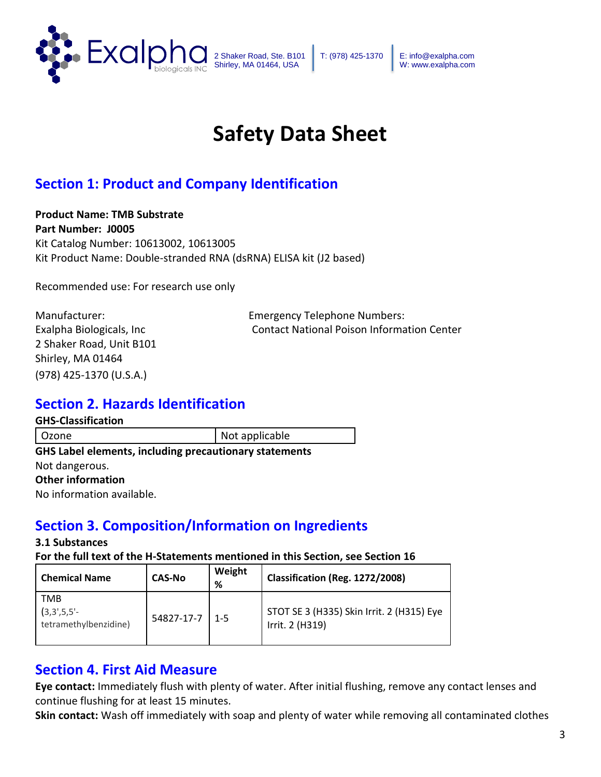

T: (978) 425-1370 E: info@exalpha.com W: www.exalpha.com

# **Safety Data Sheet**

# **Section 1: Product and Company Identification**

**Product Name: TMB Substrate Part Number: J0005** Kit Catalog Number: 10613002, 10613005 Kit Product Name: Double-stranded RNA (dsRNA) ELISA kit (J2 based)

Recommended use: For research use only

2 Shaker Road, Unit B101 Shirley, MA 01464 (978) 425-1370 (U.S.A.)

Manufacturer: Emergency Telephone Numbers: Exalpha Biologicals, Inc Contact National Poison Information Center

# **Section 2. Hazards Identification**

**GHS-Classification**

Ozone Not applicable **GHS Label elements, including precautionary statements**  Not dangerous. **Other information**  No information available.

# **Section 3. Composition/Information on Ingredients**

#### **3.1 Substances**

**For the full text of the H-Statements mentioned in this Section, see Section 16** 

| <b>Chemical Name</b>                                                  | <b>CAS-No</b> | Weight<br>% | Classification (Reg. 1272/2008)                              |
|-----------------------------------------------------------------------|---------------|-------------|--------------------------------------------------------------|
| <b>TMB</b><br>$(3,3^{\prime},5,5^{\prime}$ -<br>tetramethylbenzidine) | 54827-17-7    | $1 - 5$     | STOT SE 3 (H335) Skin Irrit. 2 (H315) Eye<br>Irrit. 2 (H319) |

# **Section 4. First Aid Measure**

**Eye contact:** Immediately flush with plenty of water. After initial flushing, remove any contact lenses and continue flushing for at least 15 minutes.

**Skin contact:** Wash off immediately with soap and plenty of water while removing all contaminated clothes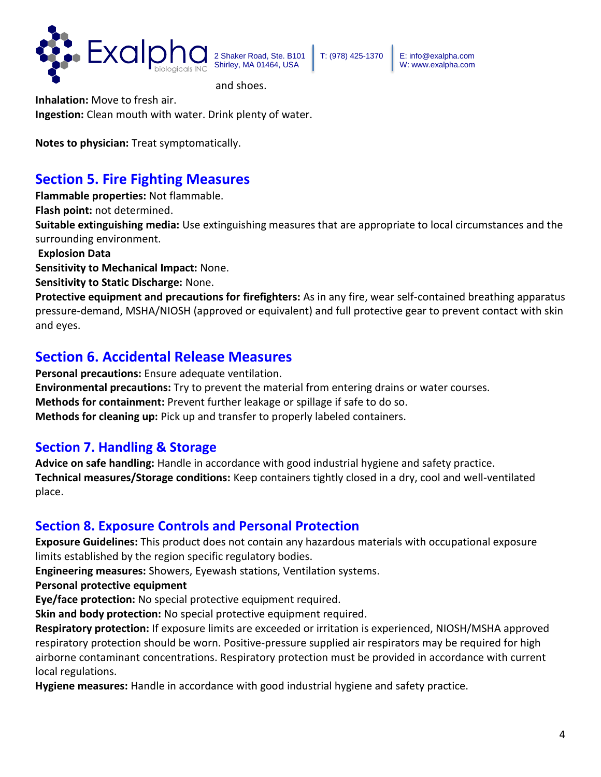

T: (978) 425-1370 E: info@exalpha.com W: www.exalpha.com

and shoes.

**Inhalation:** Move to fresh air. **Ingestion:** Clean mouth with water. Drink plenty of water.

**Notes to physician:** Treat symptomatically.

# **Section 5. Fire Fighting Measures**

**Flammable properties:** Not flammable.

**Flash point:** not determined.

**Suitable extinguishing media:** Use extinguishing measures that are appropriate to local circumstances and the surrounding environment.

**Explosion Data** 

**Sensitivity to Mechanical Impact:** None.

**Sensitivity to Static Discharge:** None.

**Protective equipment and precautions for firefighters:** As in any fire, wear self-contained breathing apparatus pressure-demand, MSHA/NIOSH (approved or equivalent) and full protective gear to prevent contact with skin and eyes.

# **Section 6. Accidental Release Measures**

**Personal precautions:** Ensure adequate ventilation. **Environmental precautions:** Try to prevent the material from entering drains or water courses. **Methods for containment:** Prevent further leakage or spillage if safe to do so. **Methods for cleaning up:** Pick up and transfer to properly labeled containers.

# **Section 7. Handling & Storage**

**Advice on safe handling:** Handle in accordance with good industrial hygiene and safety practice. **Technical measures/Storage conditions:** Keep containers tightly closed in a dry, cool and well-ventilated place.

# **Section 8. Exposure Controls and Personal Protection**

**Exposure Guidelines:** This product does not contain any hazardous materials with occupational exposure limits established by the region specific regulatory bodies.

**Engineering measures:** Showers, Eyewash stations, Ventilation systems.

**Personal protective equipment** 

**Eye/face protection:** No special protective equipment required.

**Skin and body protection:** No special protective equipment required.

**Respiratory protection:** If exposure limits are exceeded or irritation is experienced, NIOSH/MSHA approved respiratory protection should be worn. Positive-pressure supplied air respirators may be required for high airborne contaminant concentrations. Respiratory protection must be provided in accordance with current local regulations.

**Hygiene measures:** Handle in accordance with good industrial hygiene and safety practice.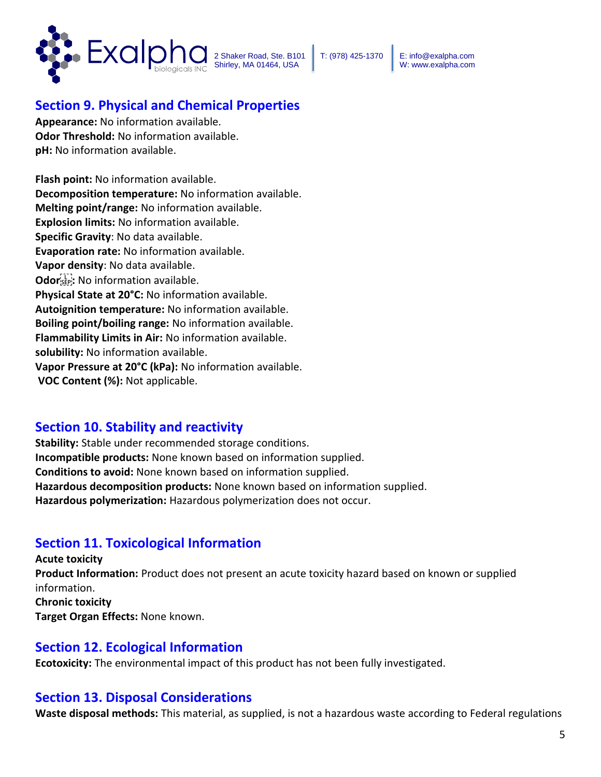

W: www.exalpha.com

# **Section 9. Physical and Chemical Properties**

**Appearance:** No information available. **Odor Threshold:** No information available. **pH:** No information available.

**Flash point:** No information available. **Decomposition temperature:** No information available. **Melting point/range:** No information available. **Explosion limits:** No information available. **Specific Gravity**: No data available. **Evaporation rate:** No information available. **Vapor density**: No data available. **Odor :** No information available. **Physical State at 20°C:** No information available. **Autoignition temperature:** No information available. **Boiling point/boiling range:** No information available. **Flammability Limits in Air:** No information available. **solubility:** No information available. **Vapor Pressure at 20°C (kPa):** No information available. **VOC Content (%):** Not applicable.

# **Section 10. Stability and reactivity**

**Stability:** Stable under recommended storage conditions. **Incompatible products:** None known based on information supplied. **Conditions to avoid:** None known based on information supplied. **Hazardous decomposition products:** None known based on information supplied. **Hazardous polymerization:** Hazardous polymerization does not occur.

# **Section 11. Toxicological Information**

**Acute toxicity Product Information:** Product does not present an acute toxicity hazard based on known or supplied information. **Chronic toxicity Target Organ Effects:** None known.

# **Section 12. Ecological Information**

**Ecotoxicity:** The environmental impact of this product has not been fully investigated.

## **Section 13. Disposal Considerations**

**Waste disposal methods:** This material, as supplied, is not a hazardous waste according to Federal regulations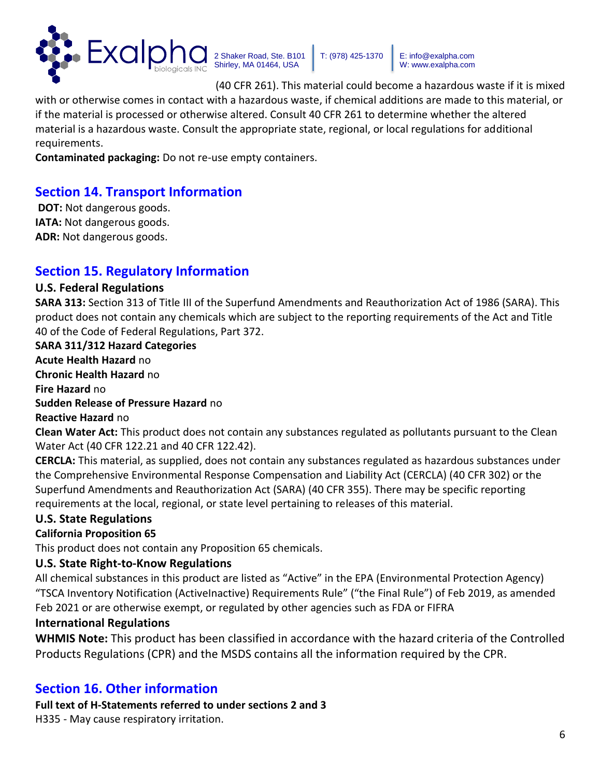

T: (978) 425-1370 E: info@exalpha.com W: www.exalpha.com

(40 CFR 261). This material could become a hazardous waste if it is mixed

with or otherwise comes in contact with a hazardous waste, if chemical additions are made to this material, or if the material is processed or otherwise altered. Consult 40 CFR 261 to determine whether the altered material is a hazardous waste. Consult the appropriate state, regional, or local regulations for additional requirements.

**Contaminated packaging:** Do not re-use empty containers.

# **Section 14. Transport Information**

**DOT:** Not dangerous goods. **IATA:** Not dangerous goods. **ADR:** Not dangerous goods.

# **Section 15. Regulatory Information**

### **U.S. Federal Regulations**

**SARA 313:** Section 313 of Title III of the Superfund Amendments and Reauthorization Act of 1986 (SARA). This product does not contain any chemicals which are subject to the reporting requirements of the Act and Title 40 of the Code of Federal Regulations, Part 372.

**SARA 311/312 Hazard Categories Acute Health Hazard** no **Chronic Health Hazard** no **Fire Hazard** no **Sudden Release of Pressure Hazard** no **Reactive Hazard** no **Clean Water Act:** This product does not contain any substances regulated as pollutants pursuant to the Clean Water Act (40 CFR 122.21 and 40 CFR 122.42).

**CERCLA:** This material, as supplied, does not contain any substances regulated as hazardous substances under the Comprehensive Environmental Response Compensation and Liability Act (CERCLA) (40 CFR 302) or the Superfund Amendments and Reauthorization Act (SARA) (40 CFR 355). There may be specific reporting requirements at the local, regional, or state level pertaining to releases of this material.

## **U.S. State Regulations**

#### **California Proposition 65**

This product does not contain any Proposition 65 chemicals.

#### **U.S. State Right-to-Know Regulations**

All chemical substances in this product are listed as "Active" in the EPA (Environmental Protection Agency) "TSCA Inventory Notification (ActiveInactive) Requirements Rule" ("the Final Rule") of Feb 2019, as amended Feb 2021 or are otherwise exempt, or regulated by other agencies such as FDA or FIFRA

## **International Regulations**

**WHMIS Note:** This product has been classified in accordance with the hazard criteria of the Controlled Products Regulations (CPR) and the MSDS contains all the information required by the CPR.

# **Section 16. Other information**

**Full text of H-Statements referred to under sections 2 and 3**  H335 - May cause respiratory irritation.